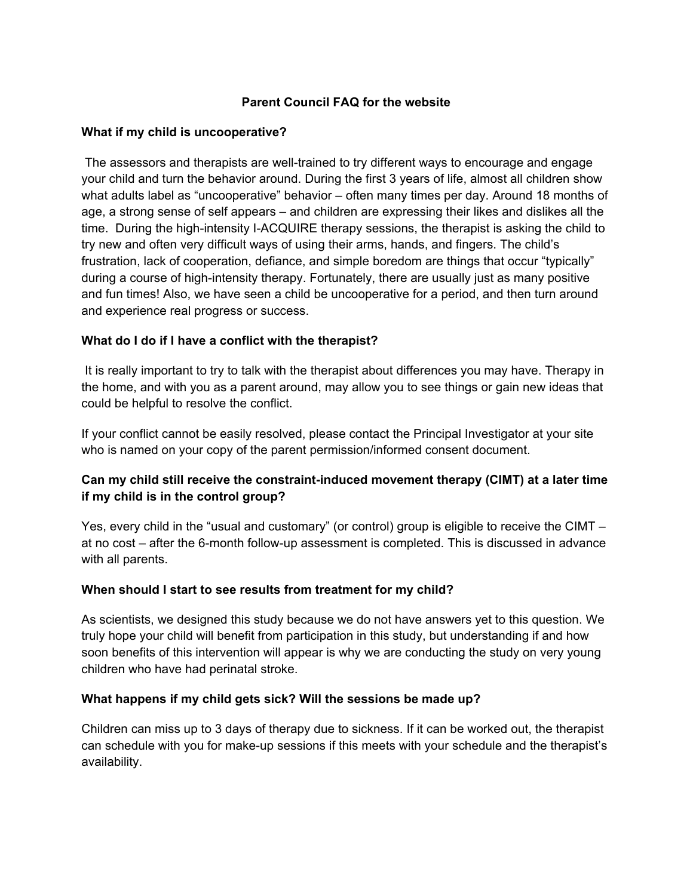#### **Parent Council FAQ for the website**

#### **What if my child is uncooperative?**

 The assessors and therapists are well-trained to try different ways to encourage and engage your child and turn the behavior around. During the first 3 years of life, almost all children show what adults label as "uncooperative" behavior – often many times per day. Around 18 months of age, a strong sense of self appears – and children are expressing their likes and dislikes all the time. During the high-intensity I-ACQUIRE therapy sessions, the therapist is asking the child to try new and often very difficult ways of using their arms, hands, and fingers. The child's frustration, lack of cooperation, defiance, and simple boredom are things that occur "typically" during a course of high-intensity therapy. Fortunately, there are usually just as many positive and fun times! Also, we have seen a child be uncooperative for a period, and then turn around and experience real progress or success.

#### **What do I do if I have a conflict with the therapist?**

 It is really important to try to talk with the therapist about differences you may have. Therapy in the home, and with you as a parent around, may allow you to see things or gain new ideas that could be helpful to resolve the conflict.

If your conflict cannot be easily resolved, please contact the Principal Investigator at your site who is named on your copy of the parent permission/informed consent document.

# **Can my child still receive the constraint-induced movement therapy (CIMT) at a later time if my child is in the control group?**

Yes, every child in the "usual and customary" (or control) group is eligible to receive the CIMT – at no cost – after the 6-month follow-up assessment is completed. This is discussed in advance with all parents.

#### **When should I start to see results from treatment for my child?**

As scientists, we designed this study because we do not have answers yet to this question. We truly hope your child will benefit from participation in this study, but understanding if and how soon benefits of this intervention will appear is why we are conducting the study on very young children who have had perinatal stroke.

#### **What happens if my child gets sick? Will the sessions be made up?**

Children can miss up to 3 days of therapy due to sickness. If it can be worked out, the therapist can schedule with you for make-up sessions if this meets with your schedule and the therapist's availability.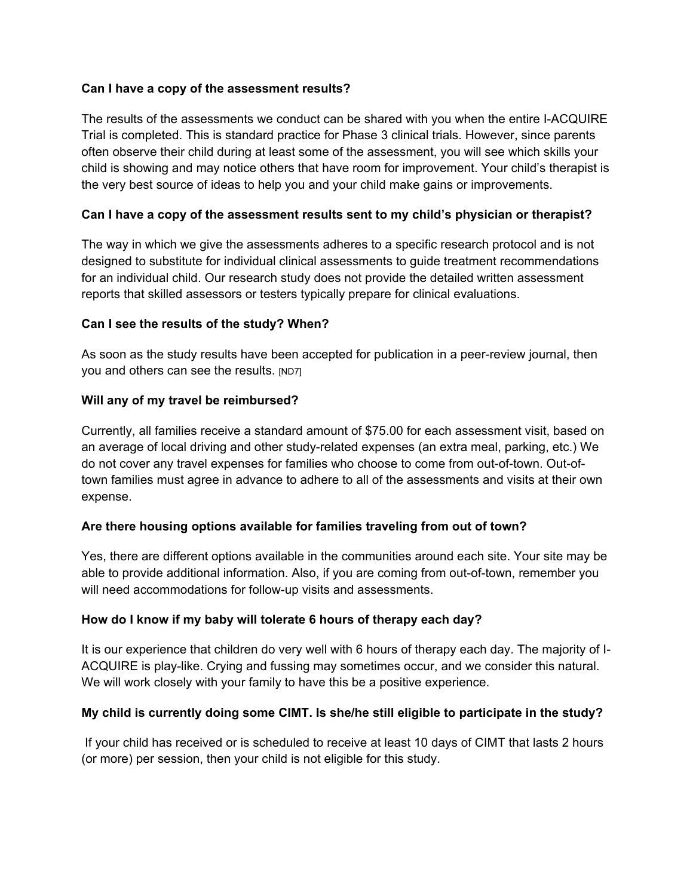### **Can I have a copy of the assessment results?**

The results of the assessments we conduct can be shared with you when the entire I-ACQUIRE Trial is completed. This is standard practice for Phase 3 clinical trials. However, since parents often observe their child during at least some of the assessment, you will see which skills your child is showing and may notice others that have room for improvement. Your child's therapist is the very best source of ideas to help you and your child make gains or improvements.

## **Can I have a copy of the assessment results sent to my child's physician or therapist?**

The way in which we give the assessments adheres to a specific research protocol and is not designed to substitute for individual clinical assessments to guide treatment recommendations for an individual child. Our research study does not provide the detailed written assessment reports that skilled assessors or testers typically prepare for clinical evaluations.

#### **Can I see the results of the study? When?**

As soon as the study results have been accepted for publication in a peer-review journal, then you and others can see the results. [ND7]

## **Will any of my travel be reimbursed?**

Currently, all families receive a standard amount of \$75.00 for each assessment visit, based on an average of local driving and other study-related expenses (an extra meal, parking, etc.) We do not cover any travel expenses for families who choose to come from out-of-town. Out-oftown families must agree in advance to adhere to all of the assessments and visits at their own expense.

# **Are there housing options available for families traveling from out of town?**

Yes, there are different options available in the communities around each site. Your site may be able to provide additional information. Also, if you are coming from out-of-town, remember you will need accommodations for follow-up visits and assessments.

# **How do I know if my baby will tolerate 6 hours of therapy each day?**

It is our experience that children do very well with 6 hours of therapy each day. The majority of I-ACQUIRE is play-like. Crying and fussing may sometimes occur, and we consider this natural. We will work closely with your family to have this be a positive experience.

# **My child is currently doing some CIMT. Is she/he still eligible to participate in the study?**

 If your child has received or is scheduled to receive at least 10 days of CIMT that lasts 2 hours (or more) per session, then your child is not eligible for this study.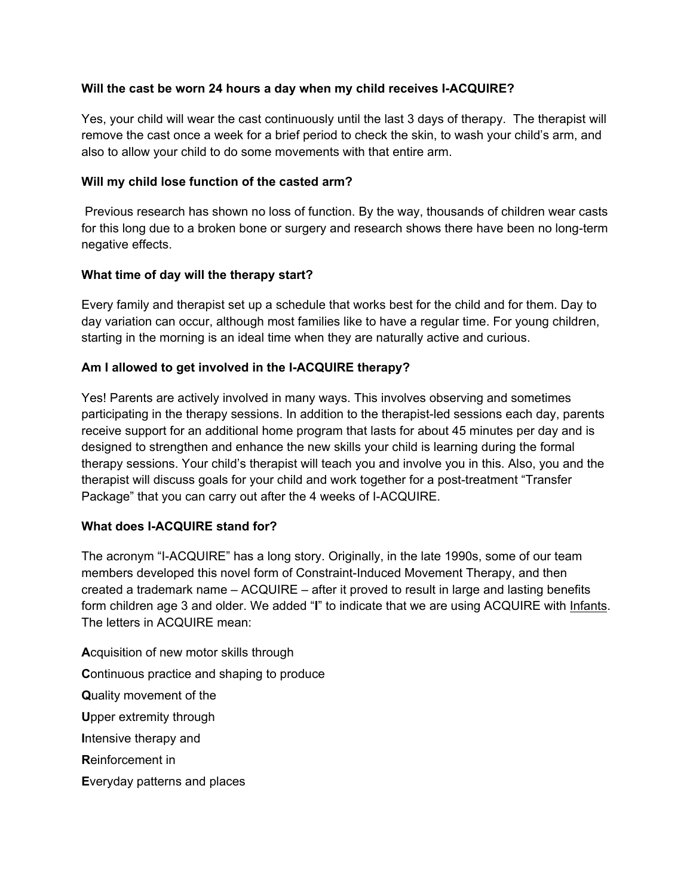## **Will the cast be worn 24 hours a day when my child receives I-ACQUIRE?**

Yes, your child will wear the cast continuously until the last 3 days of therapy. The therapist will remove the cast once a week for a brief period to check the skin, to wash your child's arm, and also to allow your child to do some movements with that entire arm.

### **Will my child lose function of the casted arm?**

 Previous research has shown no loss of function. By the way, thousands of children wear casts for this long due to a broken bone or surgery and research shows there have been no long-term negative effects.

## **What time of day will the therapy start?**

Every family and therapist set up a schedule that works best for the child and for them. Day to day variation can occur, although most families like to have a regular time. For young children, starting in the morning is an ideal time when they are naturally active and curious.

# **Am I allowed to get involved in the I-ACQUIRE therapy?**

Yes! Parents are actively involved in many ways. This involves observing and sometimes participating in the therapy sessions. In addition to the therapist-led sessions each day, parents receive support for an additional home program that lasts for about 45 minutes per day and is designed to strengthen and enhance the new skills your child is learning during the formal therapy sessions. Your child's therapist will teach you and involve you in this. Also, you and the therapist will discuss goals for your child and work together for a post-treatment "Transfer Package" that you can carry out after the 4 weeks of I-ACQUIRE.

# **What does I-ACQUIRE stand for?**

The acronym "I-ACQUIRE" has a long story. Originally, in the late 1990s, some of our team members developed this novel form of Constraint-Induced Movement Therapy, and then created a trademark name – ACQUIRE – after it proved to result in large and lasting benefits form children age 3 and older. We added "**I**" to indicate that we are using ACQUIRE with Infants. The letters in ACQUIRE mean:

**A**cquisition of new motor skills through **C**ontinuous practice and shaping to produce **Q**uality movement of the **U**pper extremity through **I**ntensive therapy and **R**einforcement in **E**veryday patterns and places